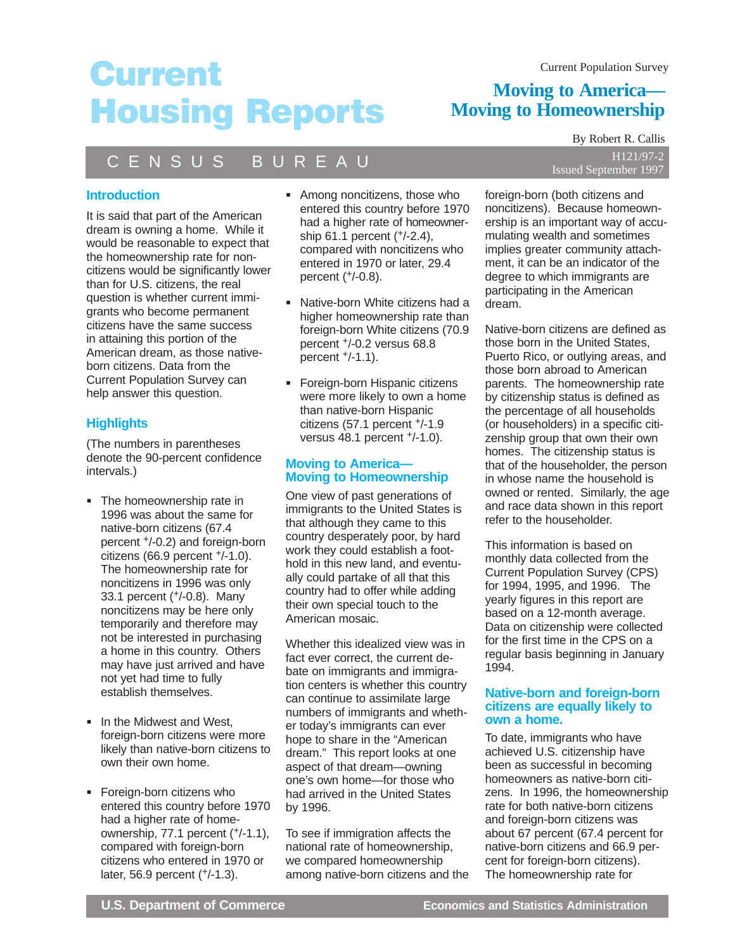# **Current Housing Reports**

## **Moving to America— Moving to Homeownership**

## C E N S U S B U R E A U

### **Introduction**

It is said that part of the American dream is owning a home. While it would be reasonable to expect that the homeownership rate for noncitizens would be significantly lower than for U.S. citizens, the real question is whether current immigrants who become permanent citizens have the same success in attaining this portion of the American dream, as those nativeborn citizens. Data from the Current Population Survey can help answer this question.

### **Highlights**

(The numbers in parentheses denote the 90-percent confidence intervals.)

- **The homeownership rate in** 1996 was about the same for native-born citizens (67.4 percent +/-0.2) and foreign-born citizens (66.9 percent +/-1.0). The homeownership rate for noncitizens in 1996 was only 33.1 percent (+/-0.8). Many noncitizens may be here only temporarily and therefore may not be interested in purchasing a home in this country. Others may have just arrived and have not yet had time to fully establish themselves.
- **In the Midwest and West,** foreign-born citizens were more likely than native-born citizens to own their own home.
- **Foreign-born citizens who** entered this country before 1970 had a higher rate of homeownership, 77.1 percent (+/-1.1), compared with foreign-born citizens who entered in 1970 or later, 56.9 percent (+/-1.3).
- Among noncitizens, those who entered this country before 1970 had a higher rate of homeownership 61.1 percent (+/-2.4), compared with noncitizens who entered in 1970 or later, 29.4 percent (+/-0.8).
- Native-born White citizens had a higher homeownership rate than foreign-born White citizens (70.9 percent +/-0.2 versus 68.8 percent +/-1.1).
- **Foreign-born Hispanic citizens** were more likely to own a home than native-born Hispanic citizens (57.1 percent +/-1.9 versus 48.1 percent +/-1.0).

### **Moving to America— Moving to Homeownership**

One view of past generations of immigrants to the United States is that although they came to this country desperately poor, by hard work they could establish a foothold in this new land, and eventually could partake of all that this country had to offer while adding their own special touch to the American mosaic.

Whether this idealized view was in fact ever correct, the current debate on immigrants and immigration centers is whether this country can continue to assimilate large numbers of immigrants and whether today's immigrants can ever hope to share in the "American dream." This report looks at one aspect of that dream—owning one's own home—for those who had arrived in the United States by 1996.

To see if immigration affects the national rate of homeownership, we compared homeownership among native-born citizens and the

By Robert R. Callis H121/97-2 Issued September 1997

foreign-born (both citizens and noncitizens). Because homeownership is an important way of accumulating wealth and sometimes implies greater community attachment, it can be an indicator of the degree to which immigrants are participating in the American dream.

Native-born citizens are defined as those born in the United States, Puerto Rico, or outlying areas, and those born abroad to American parents. The homeownership rate by citizenship status is defined as the percentage of all households (or householders) in a specific citizenship group that own their own homes. The citizenship status is that of the householder, the person in whose name the household is owned or rented. Similarly, the age and race data shown in this report refer to the householder.

This information is based on monthly data collected from the Current Population Survey (CPS) for 1994, 1995, and 1996. The yearly figures in this report are based on a 12-month average. Data on citizenship were collected for the first time in the CPS on a regular basis beginning in January 1994.

### **Native-born and foreign-born citizens are equally likely to own a home.**

To date, immigrants who have achieved U.S. citizenship have been as successful in becoming homeowners as native-born citizens. In 1996, the homeownership rate for both native-born citizens and foreign-born citizens was about 67 percent (67.4 percent for native-born citizens and 66.9 percent for foreign-born citizens). The homeownership rate for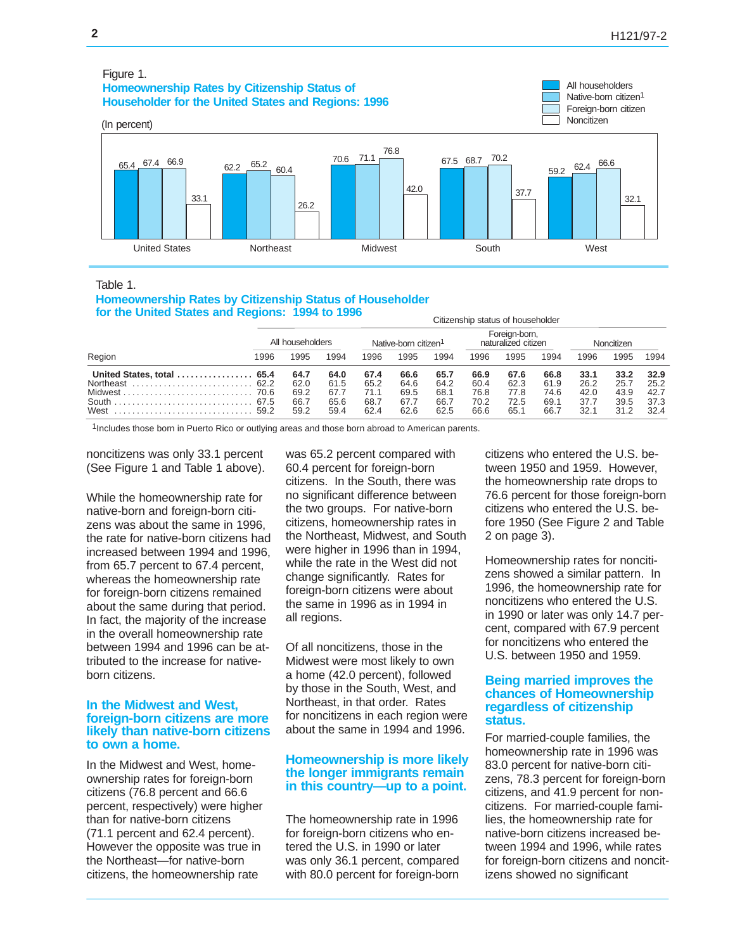#### (In percent) United States Northeast Midwest South West All householders Native-born citizen<sup>1</sup> Foreign-born citizen Noncitizen Figure 1. **Homeownership Rates by Citizenship Status of Householder for the United States and Regions: 1996** 65.4 33.1 67.4 66.9 26.2  $\frac{65.2}{60.4}$ 70.6 42.0 71.1 76.8 67.5 68.7 70.2 37.7 59.2 32.1 62.4 66.6

Table 1.

#### **Homeownership Rates by Citizenship Status of Householder for the United States and Regions: 1994 to 1996**

|                                               | All householders |                      |                      |                      | Native-born citizen <sup>1</sup> | Foreign-born,<br>naturalized citizen |                      |                      |                      |                      | Noncitizen           |                      |  |  |
|-----------------------------------------------|------------------|----------------------|----------------------|----------------------|----------------------------------|--------------------------------------|----------------------|----------------------|----------------------|----------------------|----------------------|----------------------|--|--|
| Region                                        | 1996             | 995                  | 1994                 | 1996                 | 1995                             | 1994                                 | 1996                 | 1995                 | 1994                 | 1996                 | 1995                 | 1994                 |  |  |
| United States, total  65.4<br>Northeast  62.2 |                  | 64.7<br>62.0         | 64.0<br>61.5         | 67.4<br>65.2         | 66.6<br>64.6                     | 65.7<br>64.2                         | 66.9<br>60.4         | 67.6<br>62.3         | 66.8<br>61.9         | 33.1<br>26.2         | 33.2<br>25.7         | 32.9<br>25.2         |  |  |
|                                               | 67.5<br>59.2     | 69.2<br>66.7<br>59.2 | 67.7<br>65.6<br>59.4 | 71.1<br>68.7<br>62.4 | 69.5<br>67.7<br>62.6             | 68.1<br>66.7<br>62.5                 | 76.8<br>70.2<br>66.6 | 77.8<br>72.5<br>65.1 | 74.6<br>69.1<br>66.7 | 42.0<br>37.7<br>32.1 | 43.9<br>39.5<br>31.2 | 42.7<br>37.3<br>32.4 |  |  |

1Includes those born in Puerto Rico or outlying areas and those born abroad to American parents.

noncitizens was only 33.1 percent (See Figure 1 and Table 1 above).

While the homeownership rate for native-born and foreign-born citizens was about the same in 1996, the rate for native-born citizens had increased between 1994 and 1996, from 65.7 percent to 67.4 percent, whereas the homeownership rate for foreign-born citizens remained about the same during that period. In fact, the majority of the increase in the overall homeownership rate between 1994 and 1996 can be attributed to the increase for nativeborn citizens.

### **In the Midwest and West, foreign-born citizens are more likely than native-born citizens to own a home.**

In the Midwest and West, homeownership rates for foreign-born citizens (76.8 percent and 66.6 percent, respectively) were higher than for native-born citizens (71.1 percent and 62.4 percent). However the opposite was true in the Northeast—for native-born citizens, the homeownership rate

was 65.2 percent compared with 60.4 percent for foreign-born citizens. In the South, there was no significant difference between the two groups. For native-born citizens, homeownership rates in the Northeast, Midwest, and South were higher in 1996 than in 1994, while the rate in the West did not change significantly. Rates for foreign-born citizens were about the same in 1996 as in 1994 in all regions.

Of all noncitizens, those in the Midwest were most likely to own a home (42.0 percent), followed by those in the South, West, and Northeast, in that order. Rates for noncitizens in each region were about the same in 1994 and 1996.

### **Homeownership is more likely the longer immigrants remain in this country—up to a point.**

The homeownership rate in 1996 for foreign-born citizens who entered the U.S. in 1990 or later was only 36.1 percent, compared with 80.0 percent for foreign-born citizens who entered the U.S. between 1950 and 1959. However, the homeownership rate drops to 76.6 percent for those foreign-born citizens who entered the U.S. before 1950 (See Figure 2 and Table 2 on page 3).

Citizenship status of householder

Homeownership rates for noncitizens showed a similar pattern. In 1996, the homeownership rate for noncitizens who entered the U.S. in 1990 or later was only 14.7 percent, compared with 67.9 percent for noncitizens who entered the U.S. between 1950 and 1959.

### **Being married improves the chances of Homeownership regardless of citizenship status.**

For married-couple families, the homeownership rate in 1996 was 83.0 percent for native-born citizens, 78.3 percent for foreign-born citizens, and 41.9 percent for noncitizens. For married-couple families, the homeownership rate for native-born citizens increased between 1994 and 1996, while rates for foreign-born citizens and noncitizens showed no significant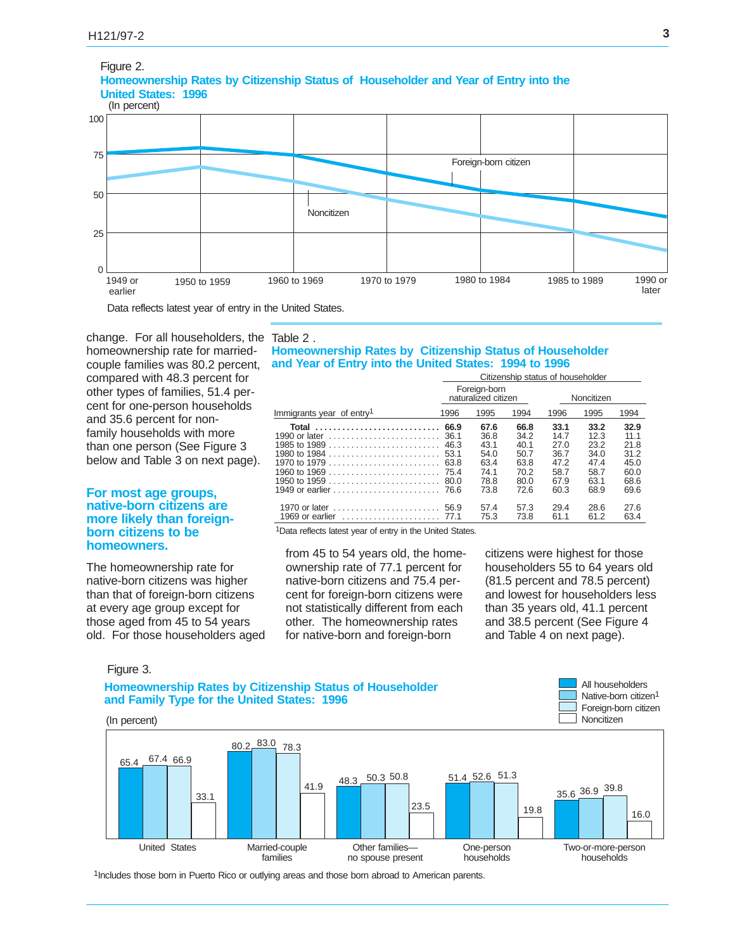

change. For all householders, the Table 2. homeownership rate for marriedcouple families was 80.2 percent, compared with 48.3 percent for other types of families, 51.4 percent for one-person households and 35.6 percent for nonfamily households with more than one person (See Figure 3 below and Table 3 on next page).

### **For most age groups, native-born citizens are more likely than foreignborn citizens to be homeowners.**

The homeownership rate for native-born citizens was higher than that of foreign-born citizens at every age group except for those aged from 45 to 54 years old. For those householders aged

### **Homeownership Rates by Citizenship Status of Householder and Year of Entry into the United States: 1994 to 1996**

|                                       | Citizenship status of householder |                                     |              |              |              |              |  |  |  |  |  |
|---------------------------------------|-----------------------------------|-------------------------------------|--------------|--------------|--------------|--------------|--|--|--|--|--|
|                                       |                                   | Foreign-born<br>naturalized citizen |              | Noncitizen   |              |              |  |  |  |  |  |
| Immigrants year of entry <sup>1</sup> | 1996                              | 1995                                | 1994         | 1996         | 1995         | 1994         |  |  |  |  |  |
| Total                                 | 66.9                              | 67.6                                | 66.8         | 33.1         | 33.2         | 32.9         |  |  |  |  |  |
|                                       | 36.1                              | 36.8                                | 34.2         | 14.7         | 12.3         | 11.1         |  |  |  |  |  |
|                                       | 46.3                              | 43.1                                | 40.1         | 27.0         | 23.2         | 21.8         |  |  |  |  |  |
|                                       | 53.1                              | 54.0                                | 50.7         | 36.7         | 34.0         | 31.2         |  |  |  |  |  |
|                                       | 63.8                              | 63.4                                | 63.8         | 47.2         | 47.4         | 45.0         |  |  |  |  |  |
|                                       | 75.4                              | 74.1                                | 70.2         | 58.7         | 58.7         | 60.0         |  |  |  |  |  |
|                                       | 80.O                              | 78.8                                | 80.0         | 67.9         | 63.1         | 68.6         |  |  |  |  |  |
|                                       |                                   | 73.8                                | 72.6         | 60.3         | 68.9         | 69.6         |  |  |  |  |  |
| 1970 or later<br>1969 or earlier      | 56.9<br>77.1                      | 57.4<br>75.3                        | 57.3<br>73.8 | 29.4<br>61.1 | 28.6<br>61.2 | 27.6<br>63.4 |  |  |  |  |  |

<sup>1</sup>Data reflects latest year of entry in the United States.

from 45 to 54 years old, the homeownership rate of 77.1 percent for native-born citizens and 75.4 percent for foreign-born citizens were not statistically different from each other. The homeownership rates for native-born and foreign-born

citizens were highest for those householders 55 to 64 years old (81.5 percent and 78.5 percent) and lowest for householders less than 35 years old, 41.1 percent and 38.5 percent (See Figure 4 and Table 4 on next page).

> All householders Native-born citizen<sup>1</sup>

Figure 3.

**Homeownership Rates by Citizenship Status of Householder and Family Type for the United States: 1996**



1Includes those born in Puerto Rico or outlying areas and those born abroad to American parents.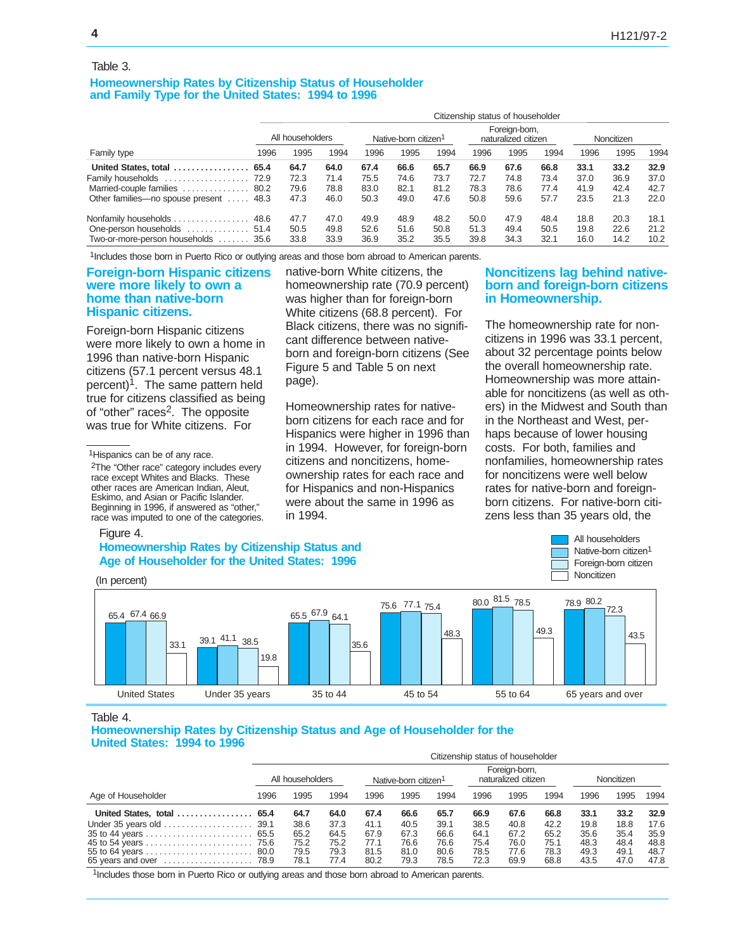#### Table 3.

### **Homeownership Rates by Citizenship Status of Householder and Family Type for the United States: 1994 to 1996**

| Family type                            |                  | Citizenship status of householder |      |                                  |      |      |                                      |      |      |            |      |      |  |  |
|----------------------------------------|------------------|-----------------------------------|------|----------------------------------|------|------|--------------------------------------|------|------|------------|------|------|--|--|
|                                        | All householders |                                   |      | Native-born citizen <sup>1</sup> |      |      | Foreian-born.<br>naturalized citizen |      |      | Noncitizen |      |      |  |  |
|                                        | 1996             | 1995                              | 1994 | 1996                             | 1995 | 1994 | 1996                                 | 1995 | 1994 | 1996       | 1995 | 1994 |  |  |
| United States, total  65.4             |                  | 64.7                              | 64.0 | 67.4                             | 66.6 | 65.7 | 66.9                                 | 67.6 | 66.8 | 33.1       | 33.2 | 32.9 |  |  |
|                                        |                  | 72.3                              | 71.4 | 75.5                             | 74.6 | 73.7 | 72.7                                 | 74.8 | 73.4 | 37.0       | 36.9 | 37.0 |  |  |
| Married-couple families  80.2          |                  | 79.6                              | 78.8 | 83.0                             | 82.1 | 81.2 | 78.3                                 | 78.6 | 77.4 | 41.9       | 42.4 | 42.7 |  |  |
| Other families—no spouse present  48.3 |                  | 47.3                              | 46.0 | 50.3                             | 49.0 | 47.6 | 50.8                                 | 59.6 | 57.7 | 23.5       | 21.3 | 22.0 |  |  |
|                                        |                  | 47.7                              | 47.0 | 49.9                             | 48.9 | 48.2 | 50.0                                 | 47.9 | 48.4 | 18.8       | 20.3 | 18.1 |  |  |
| One-person households  51.4            |                  | 50.5                              | 49.8 | 52.6                             | 51.6 | 50.8 | 51.3                                 | 49.4 | 50.5 | 19.8       | 22.6 | 21.2 |  |  |
| Two-or-more-person households  35.6    |                  | 33.8                              | 33.9 | 36.9                             | 35.2 | 35.5 | 39.8                                 | 34.3 | 32.1 | 16.0       | 14.2 | 10.2 |  |  |

1Includes those born in Puerto Rico or outlying areas and those born abroad to American parents.

### **Foreign-born Hispanic citizens were more likely to own a home than native-born Hispanic citizens.**

Foreign-born Hispanic citizens were more likely to own a home in 1996 than native-born Hispanic citizens (57.1 percent versus 48.1 percent)<sup>1</sup>. The same pattern held true for citizens classified as being of "other" races<sup>2</sup>. The opposite was true for White citizens. For

2The "Other race" category includes every race except Whites and Blacks. These other races are American Indian, Aleut, Eskimo, and Asian or Pacific Islander. Beginning in 1996, if answered as "other," race was imputed to one of the categories.

### native-born White citizens, the homeownership rate (70.9 percent) was higher than for foreign-born White citizens (68.8 percent). For Black citizens, there was no significant difference between nativeborn and foreign-born citizens (See Figure 5 and Table 5 on next page).

Homeownership rates for nativeborn citizens for each race and for Hispanics were higher in 1996 than in 1994. However, for foreign-born citizens and noncitizens, homeownership rates for each race and for Hispanics and non-Hispanics were about the same in 1996 as in 1994.

### **Noncitizens lag behind nativeborn and foreign-born citizens in Homeownership.**

The homeownership rate for noncitizens in 1996 was 33.1 percent, about 32 percentage points below the overall homeownership rate. Homeownership was more attainable for noncitizens (as well as others) in the Midwest and South than in the Northeast and West, perhaps because of lower housing costs. For both, families and nonfamilies, homeownership rates for noncitizens were well below rates for native-born and foreignborn citizens. For native-born citizens less than 35 years old, the

> All householders Native-born citizen<sup>1</sup> Foreign-born citizen

### Figure 4.

### **Homeownership Rates by Citizenship Status and Age of Householder for the United States: 1996**



Table 4.

**Homeownership Rates by Citizenship Status and Age of Householder for the United States: 1994 to 1996**

|                            | Citizenship status of householder |      |      |                                                                          |      |      |      |      |      |      |            |      |  |
|----------------------------|-----------------------------------|------|------|--------------------------------------------------------------------------|------|------|------|------|------|------|------------|------|--|
|                            | All householders                  |      |      | Foreign-born,<br>naturalized citizen<br>Native-born citizen <sup>1</sup> |      |      |      |      |      |      | Noncitizen |      |  |
| Age of Householder         | 1996                              | 1995 | 1994 | 1996                                                                     | 1995 | 1994 | 1996 | 1995 | 1994 | 1996 | 1995       | 1994 |  |
| United States, total  65.4 |                                   | 64.7 | 64.0 | 67.4                                                                     | 66.6 | 65.7 | 66.9 | 67.6 | 66.8 | 33.1 | 33.2       | 32.9 |  |
|                            |                                   | 38.6 | 37.3 | 41.1                                                                     | 40.5 | 39.1 | 38.5 | 40.8 | 42.2 | 19.8 | 18.8       | 17.6 |  |
|                            |                                   | 65.2 | 64.5 | 67.9                                                                     | 67.3 | 66.6 | 64.1 | 67.2 | 65.2 | 35.6 | 35.4       | 35.9 |  |
|                            |                                   | 75.2 | 75.2 | 77.1                                                                     | 76.6 | 76.6 | 75.4 | 76.0 | 75.1 | 48.3 | 48.4       | 48.8 |  |
|                            |                                   | 79.5 | 79.3 | 81.5                                                                     | 81.0 | 80.6 | 78.5 | 77.6 | 78.3 | 49.3 | 49.1       | 48.7 |  |
|                            |                                   | 78.1 | 77.4 | 80.2                                                                     | 79.3 | 78.5 | 72.3 | 69.9 | 68.8 | 43.5 | 47.0       | 47.8 |  |

1Includes those born in Puerto Rico or outlying areas and those born abroad to American parents.

<sup>&</sup>lt;sup>1</sup>Hispanics can be of any race.